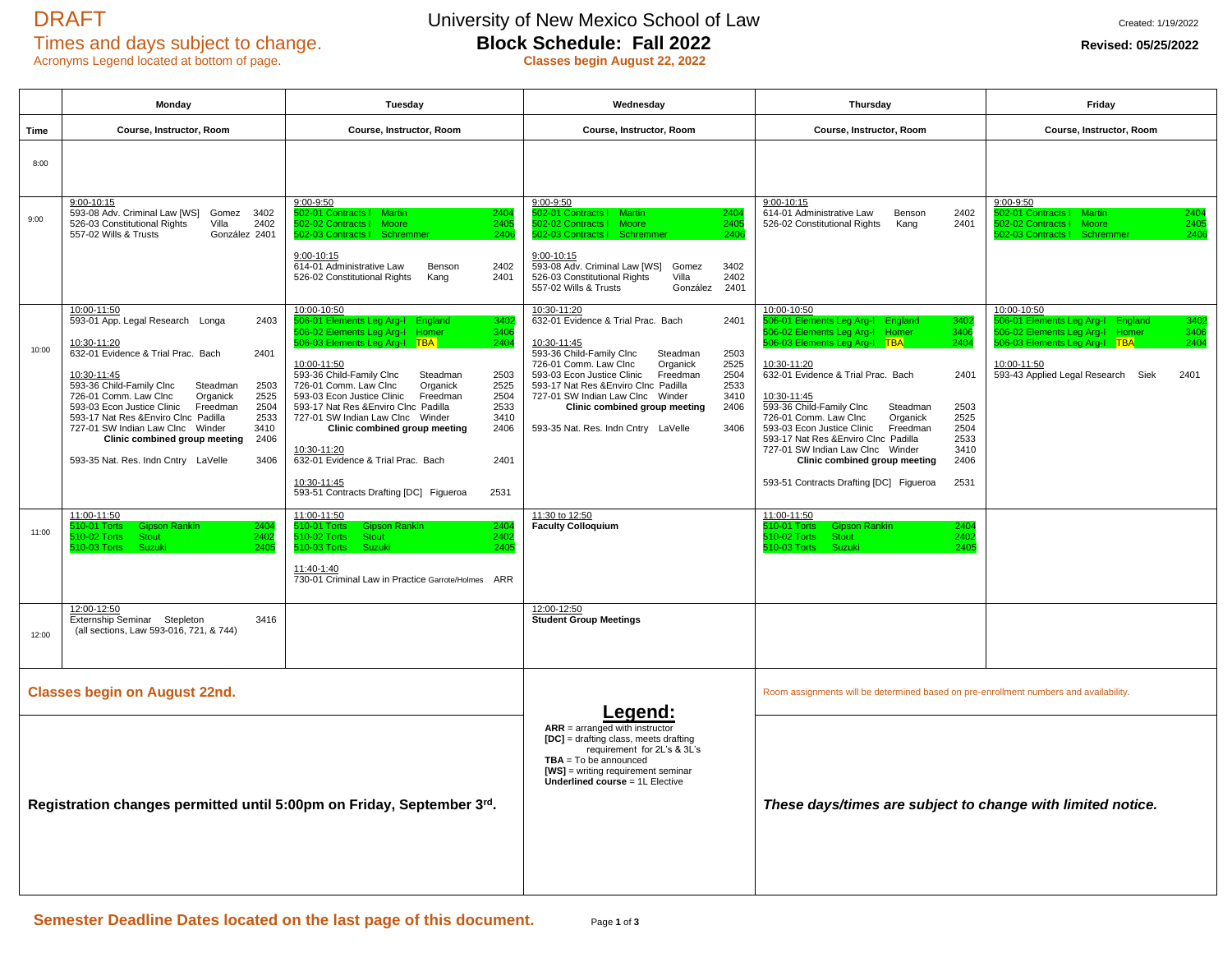# Acronyms Legend located at bottom of page.

# DRAFT University of New Mexico School of Law Created: 1/19/2022<br>Times and days subject to change. **Block Schedule: Fall 2022** Revised: 05/25/2022 Times and days subject to change.<br> **Block Schedule: Fall 2022**<br> **Revised: 05/25/2022**<br> **Revised: 05/25/2022**<br> **Revised: 05/25/2022**

|       | Monday                                                                                                                                                                                                                                                                                                                                                                                                                                                                 | Tuesday                                                                                                                                                                                                                                                                                                                                                                                                                                                                                                                                                                        | Wednesday                                                                                                                                                                                                                                                                                                                                                                                                       | Thursday                                                                                                                                                                                                                                                                                                                                                                                                                                                                                                                                                           | Friday                                                                                                                                                                                                      |
|-------|------------------------------------------------------------------------------------------------------------------------------------------------------------------------------------------------------------------------------------------------------------------------------------------------------------------------------------------------------------------------------------------------------------------------------------------------------------------------|--------------------------------------------------------------------------------------------------------------------------------------------------------------------------------------------------------------------------------------------------------------------------------------------------------------------------------------------------------------------------------------------------------------------------------------------------------------------------------------------------------------------------------------------------------------------------------|-----------------------------------------------------------------------------------------------------------------------------------------------------------------------------------------------------------------------------------------------------------------------------------------------------------------------------------------------------------------------------------------------------------------|--------------------------------------------------------------------------------------------------------------------------------------------------------------------------------------------------------------------------------------------------------------------------------------------------------------------------------------------------------------------------------------------------------------------------------------------------------------------------------------------------------------------------------------------------------------------|-------------------------------------------------------------------------------------------------------------------------------------------------------------------------------------------------------------|
| Time  | Course, Instructor, Room                                                                                                                                                                                                                                                                                                                                                                                                                                               | Course, Instructor, Room                                                                                                                                                                                                                                                                                                                                                                                                                                                                                                                                                       | Course, Instructor, Room                                                                                                                                                                                                                                                                                                                                                                                        | Course, Instructor, Room                                                                                                                                                                                                                                                                                                                                                                                                                                                                                                                                           | Course, Instructor, Room                                                                                                                                                                                    |
| 8:00  |                                                                                                                                                                                                                                                                                                                                                                                                                                                                        |                                                                                                                                                                                                                                                                                                                                                                                                                                                                                                                                                                                |                                                                                                                                                                                                                                                                                                                                                                                                                 |                                                                                                                                                                                                                                                                                                                                                                                                                                                                                                                                                                    |                                                                                                                                                                                                             |
| 9:00  | $9:00 - 10:15$<br>593-08 Adv. Criminal Law [WS]<br>Gomez<br>3402<br>526-03 Constitutional Rights<br>2402<br>Villa<br>557-02 Wills & Trusts<br>González 2401                                                                                                                                                                                                                                                                                                            | 9:00-9:50<br>02-01 Contracts   Martin<br>2404<br>2405<br>02-02 Contracts   Moore<br>502-03 Contracts   Schremme<br>2406<br>$9:00 - 10:15$<br>614-01 Administrative Law<br>2402<br>Benson<br>526-02 Constitutional Rights<br>2401<br>Kang                                                                                                                                                                                                                                                                                                                                       | $9:00 - 9:50$<br>02-01 Contracts   Martin<br>2404<br>2405<br>02-02 Contracts I Moore<br>502-03 Contracts   Schremmer<br>2406<br>9:00-10:15<br>3402<br>593-08 Adv. Criminal Law [WS]<br>Gomez<br>526-03 Constitutional Rights<br>2402<br>Villa<br>557-02 Wills & Trusts<br>González<br>2401                                                                                                                      | 9:00-10:15<br>614-01 Administrative Law<br>Benson<br>2402<br>2401<br>526-02 Constitutional Rights<br>Kang                                                                                                                                                                                                                                                                                                                                                                                                                                                          | 9:00-9:50<br>02-01 Contracts   Martin<br>2404<br>602-02 Contracts   Moore<br>2405<br>502-03 Contracts   Schremme<br>2406                                                                                    |
| 10:00 | 10:00-11:50<br>593-01 App. Legal Research Longa<br>2403<br>10:30-11:20<br>632-01 Evidence & Trial Prac. Bach<br>2401<br>10:30-11:45<br>593-36 Child-Family Clnc<br>Steadman<br>2503<br>726-01 Comm. Law Clnc<br>Organick<br>2525<br>593-03 Econ Justice Clinic<br>Freedman<br>2504<br>593-17 Nat Res & Enviro Clnc Padilla<br>2533<br>727-01 SW Indian Law Clnc Winder<br>3410<br>Clinic combined group meeting<br>2406<br>593-35 Nat. Res. Indn Cntry LaVelle<br>3406 | 10:00-10:50<br>506-01 Elements Leg Arg-I England<br>340:<br>506-02 Elements Leg Arg-I Homer<br>3406<br>506-03 Elements Leg Arg-I TBA<br>2404<br>10:00-11:50<br>593-36 Child-Family Clnc<br>Steadman<br>2503<br>726-01 Comm. Law Clnc<br>Organick<br>2525<br>593-03 Econ Justice Clinic<br>Freedman<br>2504<br>593-17 Nat Res & Enviro Clnc Padilla<br>2533<br>727-01 SW Indian Law Clnc Winder<br>3410<br>Clinic combined group meeting<br>2406<br>10:30-11:20<br>632-01 Evidence & Trial Prac. Bach<br>2401<br>10:30-11:45<br>593-51 Contracts Drafting [DC] Figueroa<br>2531 | $10:30 - 11:20$<br>632-01 Evidence & Trial Prac. Bach<br>2401<br>10:30-11:45<br>593-36 Child-Family Clnc<br>2503<br>Steadman<br>726-01 Comm. Law Clnc<br>2525<br>Organick<br>593-03 Econ Justice Clinic<br>Freedman<br>2504<br>593-17 Nat Res & Enviro Clnc Padilla<br>2533<br>727-01 SW Indian Law Clnc Winder<br>3410<br>Clinic combined group meeting<br>2406<br>593-35 Nat. Res. Indn Cntry LaVelle<br>3406 | 10:00-10:50<br>506-01 Elements Leg Arg-I England<br>3402<br>506-02 Elements Leg Arg-I<br>3406<br>Homer<br>506-03 Elements Leg Arg-I TBA<br>2404<br>10:30-11:20<br>632-01 Evidence & Trial Prac. Bach<br>2401<br>10:30-11:45<br>593-36 Child-Family Clnc<br>Steadman<br>2503<br>726-01 Comm. Law Clnc<br>Organick<br>2525<br>593-03 Econ Justice Clinic<br>2504<br>Freedman<br>593-17 Nat Res & Enviro Clnc Padilla<br>2533<br>727-01 SW Indian Law Clnc Winder<br>3410<br>Clinic combined group meeting<br>2406<br>593-51 Contracts Drafting [DC] Figueroa<br>2531 | 10:00-10:50<br>06-01 Elements Leg Arg-I England<br>3402<br>606-02 Elements Leg Arg-I<br>3406<br>Homer<br>506-03 Elements Leg Arg-I TBA<br>2404<br>10:00-11:50<br>593-43 Applied Legal Research Siek<br>2401 |
| 11:00 | 11:00-11:50<br>10-01 Torts<br><b>Gipson Rankin</b><br>240<br>10-02 Torts<br><b>Stout</b><br>2402<br>10-03 Torts<br>Suzuki<br>2405<br>12:00-12:50<br>Externship Seminar Stepleton<br>3416                                                                                                                                                                                                                                                                               | 11:00-11:50<br>10-01 Torts<br><b>Gipson Rankin</b><br>240<br>10-02 Torts<br><b>Stout</b><br>2402<br>10-03 Torts<br>Suzuki<br>2405<br>11:40-1:40<br>730-01 Criminal Law in Practice Garrote/Holmes ARR                                                                                                                                                                                                                                                                                                                                                                          | 11:30 to 12:50<br><b>Faculty Colloquium</b><br>12:00-12:50<br><b>Student Group Meetings</b>                                                                                                                                                                                                                                                                                                                     | 11:00-11:50<br>10-01 Torts<br><b>Gipson Rankin</b><br>2404<br>10-02 Torts<br><b>Stout</b><br>2402<br>10-03 Torts<br>Suzuki<br>240!                                                                                                                                                                                                                                                                                                                                                                                                                                 |                                                                                                                                                                                                             |
| 12:00 | (all sections, Law 593-016, 721, & 744)                                                                                                                                                                                                                                                                                                                                                                                                                                |                                                                                                                                                                                                                                                                                                                                                                                                                                                                                                                                                                                |                                                                                                                                                                                                                                                                                                                                                                                                                 |                                                                                                                                                                                                                                                                                                                                                                                                                                                                                                                                                                    |                                                                                                                                                                                                             |
|       | <b>Classes begin on August 22nd.</b>                                                                                                                                                                                                                                                                                                                                                                                                                                   | Room assignments will be determined based on pre-enrollment numbers and availability.<br>.eaend:<br>$ARR = \text{arranged with instructor}$<br>[DC] = drafting class, meets drafting<br>requirement for 2L's & 3L's<br>$TBA = To be announced$<br>$[WS]$ = writing requirement seminar<br><b>Underlined course = 1L Elective</b><br>These days/times are subject to change with limited notice.<br>Registration changes permitted until 5:00pm on Friday, September 3rd.                                                                                                       |                                                                                                                                                                                                                                                                                                                                                                                                                 |                                                                                                                                                                                                                                                                                                                                                                                                                                                                                                                                                                    |                                                                                                                                                                                                             |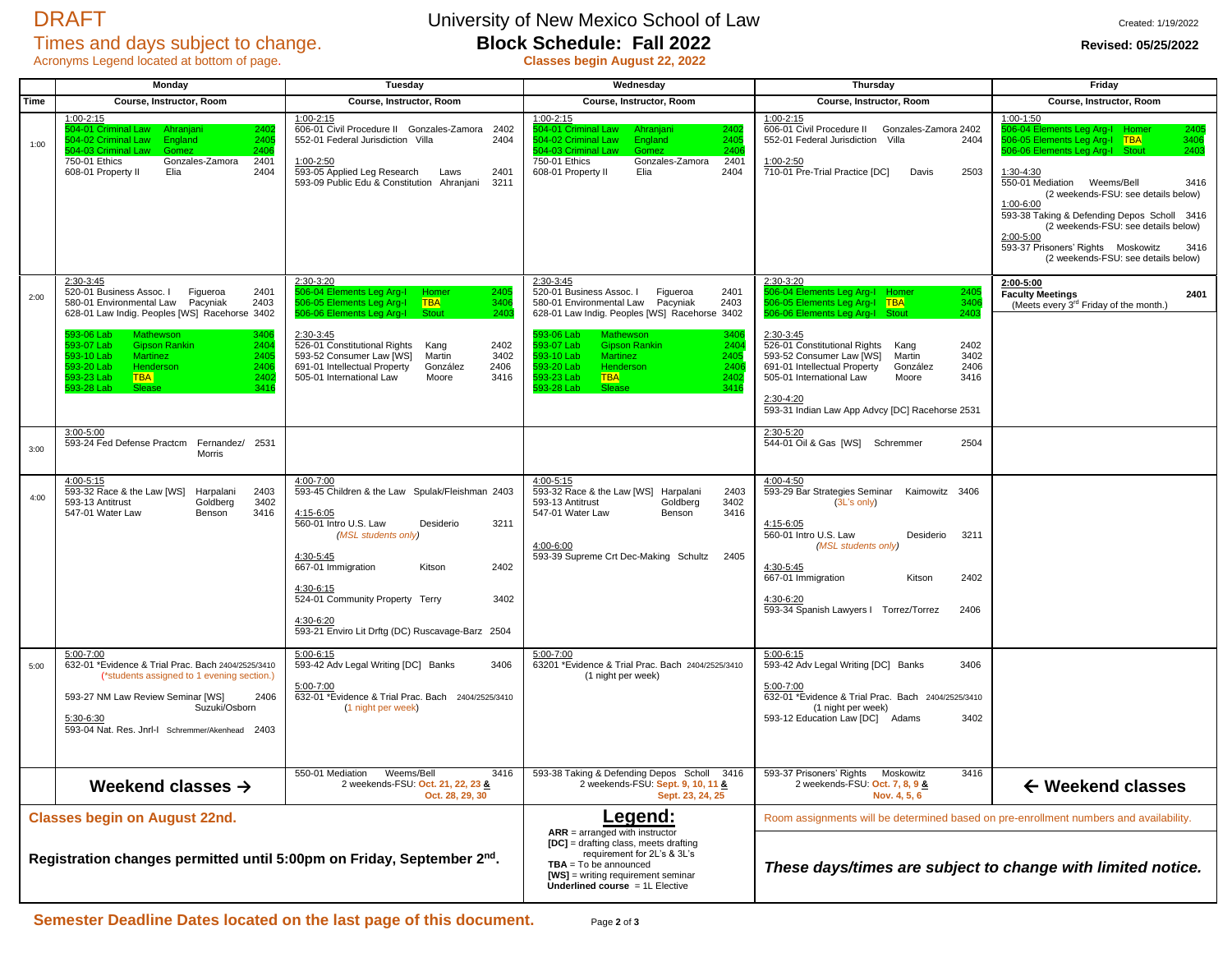## Acronyms Legend located at bottom of page. **Classes begin August 22, 2022**

## DRAFT University of New Mexico School of Law Created: 1/19/2022<br>Times and days subject to change. **Block Schedule: Fall 2022** Revised: 05/25/2022 Times and days subject to change. **Block Schedule: Fall 2022 Revised: 05/25/2022 Revised: 05/25/2022**

|      | Monday                                                                                                                                                                                                                                                                                                                                                                                   | Tuesday                                                                                                                                                                                                                                                                                                                                                              | Wednesday                                                                                                                                                                                                                                                                                                                                                                           | <b>Thursday</b>                                                                                                                                                                                                                                                                                                                                                                                                             | Friday                                                                                                                                                                                                                                                                                                                                                                                                                                      |
|------|------------------------------------------------------------------------------------------------------------------------------------------------------------------------------------------------------------------------------------------------------------------------------------------------------------------------------------------------------------------------------------------|----------------------------------------------------------------------------------------------------------------------------------------------------------------------------------------------------------------------------------------------------------------------------------------------------------------------------------------------------------------------|-------------------------------------------------------------------------------------------------------------------------------------------------------------------------------------------------------------------------------------------------------------------------------------------------------------------------------------------------------------------------------------|-----------------------------------------------------------------------------------------------------------------------------------------------------------------------------------------------------------------------------------------------------------------------------------------------------------------------------------------------------------------------------------------------------------------------------|---------------------------------------------------------------------------------------------------------------------------------------------------------------------------------------------------------------------------------------------------------------------------------------------------------------------------------------------------------------------------------------------------------------------------------------------|
| Time | Course, Instructor, Room                                                                                                                                                                                                                                                                                                                                                                 | Course, Instructor, Room                                                                                                                                                                                                                                                                                                                                             | Course, Instructor, Room                                                                                                                                                                                                                                                                                                                                                            | Course, Instructor, Room                                                                                                                                                                                                                                                                                                                                                                                                    | Course, Instructor, Room                                                                                                                                                                                                                                                                                                                                                                                                                    |
| 1:00 | $1:00 - 2:15$<br>2402<br>504-01 Criminal Law<br>Ahraniani<br>2405<br>504-02 Criminal Law<br>England<br>504-03 Criminal Law<br>240<br>Gomez<br>750-01 Ethics<br>Gonzales-Zamora<br>2401<br>608-01 Property II<br>Elia<br>2404                                                                                                                                                             | $1:00 - 2:15$<br>606-01 Civil Procedure II Gonzales-Zamora<br>2402<br>552-01 Federal Jurisdiction Villa<br>2404<br>1:00-2:50<br>593-05 Applied Leg Research<br>2401<br>Laws<br>593-09 Public Edu & Constitution Ahranjani<br>3211                                                                                                                                    | $1:00 - 2:15$<br>504-01 Criminal Law<br>Ahraniani<br>2402<br>240<br>504-02 Criminal Law<br>England<br>604-03 Criminal Law<br>2406<br>Gomez<br>750-01 Ethics<br>Gonzales-Zamora<br>2401<br>608-01 Property II<br>Elia<br>2404                                                                                                                                                        | $1:00 - 2:15$<br>606-01 Civil Procedure II<br>Gonzales-Zamora 2402<br>552-01 Federal Jurisdiction Villa<br>2404<br>$1:00 - 2:50$<br>710-01 Pre-Trial Practice [DC]<br>Davis<br>2503                                                                                                                                                                                                                                         | $1:00 - 1:50$<br>06-04 Elements Leg Arg-l Homer<br>2405<br>606-05 Elements Leg Arg-I TBA<br>3406<br>506-06 Elements Leg Arg-I Stout<br>2403<br>1:30-4:30<br>550-01 Mediation Weems/Bell<br>3416<br>(2 weekends-FSU: see details below)<br>1:00-6:00<br>593-38 Taking & Defending Depos Scholl 3416<br>(2 weekends-FSU: see details below)<br>2:00-5:00<br>593-37 Prisoners' Rights Moskowitz<br>3416<br>(2 weekends-FSU: see details below) |
| 2:00 | 2:30-3:45<br>520-01 Business Assoc. I<br>2401<br>Figueroa<br>580-01 Environmental Law Pacyniak<br>2403<br>628-01 Law Indig. Peoples [WS] Racehorse 3402<br>593-06 Lab<br><b>Mathewson</b><br>3406<br>93-07 Lab<br><b>Gipson Rankin</b><br>2404<br>93-10 Lab<br><b>Martinez</b><br>2405<br>93-20 Lab<br>Henderson<br>240<br>93-23 Lab<br><b>TBA</b><br>240<br>593-28 Lab<br>3416<br>Sleas | 2:30-3:20<br>506-04 Elements Leg Arg-I<br>2405<br>Homer<br><b>TBA</b><br>3406<br>506-05 Elements Leg Arg-I<br>2403<br>506-06 Elements Leg Arg-I<br>Stout<br>2:30-3:45<br>526-01 Constitutional Rights<br>2402<br>Kang<br>593-52 Consumer Law [WS]<br>Martin<br>3402<br>691-01 Intellectual Property<br>González<br>2406<br>505-01 International Law<br>Moore<br>3416 | 2:30-3:45<br>520-01 Business Assoc. I<br>Figueroa<br>2401<br>580-01 Environmental Law Pacyniak<br>2403<br>628-01 Law Indig. Peoples [WS] Racehorse 3402<br>3406<br>593-06 Lab<br>Mathewson<br>593-07 Lab<br><b>Gipson Rankin</b><br>240<br>593-10 Lab<br><b>Martinez</b><br>2405<br>593-20 Lab<br>240<br>Henderson<br><b>TBA</b><br>93-23 Lab<br>240<br>93-28 Lab<br>3416<br>Slease | 2:30-3:20<br>506-04 Elements Leg Arg-I Homer<br>2405<br>506-05 Elements Leg Arg-I TBA<br>3406<br>606-06 Elements Leg Arg-I Stour<br>2403<br>2:30-3:45<br>526-01 Constitutional Rights<br>2402<br>Kang<br>593-52 Consumer Law [WS]<br>Martin<br>3402<br>691-01 Intellectual Property<br>González<br>2406<br>505-01 International Law<br>Moore<br>3416<br><u>2:30-4:20</u><br>593-31 Indian Law App Advcy [DC] Racehorse 2531 | 2:00-5:00<br><b>Faculty Meetings</b><br>2401<br>(Meets every 3 <sup>rd</sup> Friday of the month.)                                                                                                                                                                                                                                                                                                                                          |
| 3:00 | $3:00 - 5:00$<br>593-24 Fed Defense Practcm Fernandez/ 2531<br>Morris                                                                                                                                                                                                                                                                                                                    |                                                                                                                                                                                                                                                                                                                                                                      |                                                                                                                                                                                                                                                                                                                                                                                     | 2:30-5:20<br>544-01 Oil & Gas [WS] Schremmer<br>2504                                                                                                                                                                                                                                                                                                                                                                        |                                                                                                                                                                                                                                                                                                                                                                                                                                             |
| 4:00 | 4:00-5:15<br>593-32 Race & the Law [WS]<br>2403<br>Harpalani<br>593-13 Antitrust<br>Goldberg<br>3402<br>547-01 Water Law<br>Benson<br>3416                                                                                                                                                                                                                                               | 4:00-7:00<br>593-45 Children & the Law Spulak/Fleishman 2403<br>4:15-6:05<br>560-01 Intro U.S. Law<br>Desiderio<br>3211<br>(MSL students only)<br>4:30-5:45<br>2402<br>667-01 Immigration<br>Kitson<br>4:30-6:15<br>524-01 Community Property Terry<br>3402<br>4:30-6:20<br>593-21 Enviro Lit Drftg (DC) Ruscavage-Barz 2504                                         | $4:00 - 5:15$<br>593-32 Race & the Law [WS]<br>2403<br>Harpalani<br>593-13 Antitrust<br>Goldberg<br>3402<br>547-01 Water Law<br>3416<br>Benson<br>4:00-6:00<br>593-39 Supreme Crt Dec-Making Schultz<br>2405                                                                                                                                                                        | 4:00-4:50<br>593-29 Bar Strategies Seminar Kaimowitz 3406<br>(3L's only)<br>4:15-6:05<br>560-01 Intro U.S. Law<br>3211<br>Desiderio<br>(MSL students only)<br>4:30-5:45<br>2402<br>667-01 Immigration<br>Kitson<br>4:30-6:20<br>2406<br>593-34 Spanish Lawyers   Torrez/Torrez                                                                                                                                              |                                                                                                                                                                                                                                                                                                                                                                                                                                             |
| 5:00 | $5:00 - 7:00$<br>632-01 *Evidence & Trial Prac. Bach 2404/2525/3410<br>(*students assigned to 1 evening section.)<br>593-27 NM Law Review Seminar [WS]<br>2406<br>Suzuki/Osborn<br>5:30-6:30<br>593-04 Nat. Res. Jnrl-I Schremmer/Akenhead 2403                                                                                                                                          | $5:00 - 6:15$<br>593-42 Adv Legal Writing [DC] Banks<br>3406<br>5:00-7:00<br>632-01 *Evidence & Trial Prac. Bach 2404/2525/3410<br>(1 night per week)                                                                                                                                                                                                                | 5:00-7:00<br>63201 *Evidence & Trial Prac. Bach 2404/2525/3410<br>(1 night per week)                                                                                                                                                                                                                                                                                                | $5:00 - 6:15$<br>593-42 Adv Legal Writing [DC] Banks<br>3406<br>5:00-7:00<br>632-01 *Evidence & Trial Prac. Bach 2404/2525/3410<br>(1 night per week)<br>593-12 Education Law [DC] Adams<br>3402                                                                                                                                                                                                                            |                                                                                                                                                                                                                                                                                                                                                                                                                                             |
|      | Weekend classes $\rightarrow$                                                                                                                                                                                                                                                                                                                                                            | 550-01 Mediation<br>Weems/Bell<br>3416<br>2 weekends-FSU: Oct. 21, 22, 23 &<br>Oct. 28, 29, 30                                                                                                                                                                                                                                                                       | 593-38 Taking & Defending Depos Scholl<br>3416<br>2 weekends-FSU: Sept. 9, 10, 11 &<br>Sept. 23, 24, 25                                                                                                                                                                                                                                                                             | 593-37 Prisoners' Rights<br>3416<br>Moskowitz<br>2 weekends-FSU: Oct. 7, 8, 9 &<br>Nov. 4, 5, 6                                                                                                                                                                                                                                                                                                                             | $\leftarrow$ Weekend classes                                                                                                                                                                                                                                                                                                                                                                                                                |
|      | <b>Classes begin on August 22nd.</b>                                                                                                                                                                                                                                                                                                                                                     |                                                                                                                                                                                                                                                                                                                                                                      |                                                                                                                                                                                                                                                                                                                                                                                     | <b>Legend:</b><br>Room assignments will be determined based on pre-enrollment numbers and availability.                                                                                                                                                                                                                                                                                                                     |                                                                                                                                                                                                                                                                                                                                                                                                                                             |
|      | Registration changes permitted until 5:00pm on Friday, September 2 <sup>nd</sup> .                                                                                                                                                                                                                                                                                                       |                                                                                                                                                                                                                                                                                                                                                                      | $ARR = arranged$ with instructor<br>[DC] = drafting class, meets drafting<br>requirement for 2L's & 3L's<br>$TBA = To be announced$<br>$[WS]$ = writing requirement seminar<br><b>Underlined course</b> $= 1L$ Elective                                                                                                                                                             | These days/times are subject to change with limited notice.                                                                                                                                                                                                                                                                                                                                                                 |                                                                                                                                                                                                                                                                                                                                                                                                                                             |